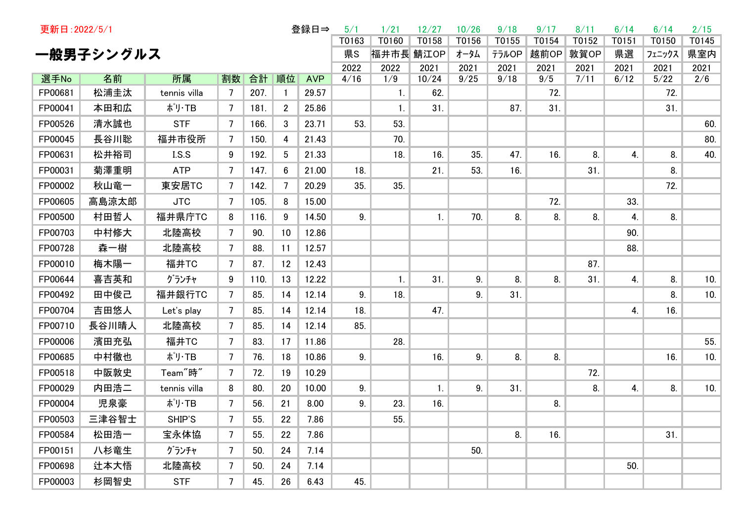| 登録日⇒<br>更新日: 2022/5/1 |            |                      |         |            |                |                     |           | 1/21  | 12/27          | 10/26 | 9/18  | 9/17       | 8/11 | 6/14   | 6/14        | 2/15 |
|-----------------------|------------|----------------------|---------|------------|----------------|---------------------|-----------|-------|----------------|-------|-------|------------|------|--------|-------------|------|
|                       |            | T0163                | T0160   | T0158      | T0156          | T0155               | T0154     | T0152 | T0151          | T0150 | T0145 |            |      |        |             |      |
|                       | 一般男子シングルス  |                      |         |            |                | 県S                  | 福井市長 鯖江OP |       | オータム           | テラルOP | 越前OP  | 敦賀OP       | 県選   | フェニックス | 県室内         |      |
|                       |            |                      |         |            |                | 2022                | 2022      | 2021  | 2021           | 2021  | 2021  | 2021       | 2021 | 2021   | 2021        |      |
| 選手No<br>FP00681       | 名前<br>松浦圭汰 | 所属<br>tennis villa   | 割数<br>7 | 合計<br>207. | 順位             | <b>AVP</b><br>29.57 | 4/16      | 1/9   | 10/24<br>62.   | 9/25  | 9/18  | 9/5<br>72. | 7/11 | 6/12   | 5/22<br>72. | 2/6  |
|                       |            |                      |         |            |                |                     |           | 1.    |                |       |       |            |      |        |             |      |
| FP00041               | 本田和広       | ポリ・TB                | 7       | 181.       | $\overline{2}$ | 25.86               |           | 1.    | 31.            |       | 87.   | 31.        |      |        | 31.         |      |
| FP00526               | 清水誠也       | <b>STF</b>           | 7       | 166.       | 3              | 23.71               | 53.       | 53.   |                |       |       |            |      |        |             | 60.  |
| FP00045               | 長谷川聡       | 福井市役所                | 7       | 150.       | 4              | 21.43               |           | 70.   |                |       |       |            |      |        |             | 80.  |
| FP00631               | 松井裕司       | I.S.S                | 9       | 192.       | 5              | 21.33               |           | 18.   | 16.            | 35.   | 47.   | 16.        | 8.   | 4.     | 8.          | 40.  |
| FP00031               | 菊澤重明       | <b>ATP</b>           | 7       | 147.       | 6              | 21.00               | 18.       |       | 21.            | 53.   | 16.   |            | 31.  |        | 8.          |      |
| FP00002               | 秋山竜一       | 東安居TC                | 7       | 142.       | 7              | 20.29               | 35.       | 35.   |                |       |       |            |      |        | 72.         |      |
| FP00605               | 高島涼太郎      | <b>JTC</b>           | 7       | 105.       | 8              | 15.00               |           |       |                |       |       | 72.        |      | 33.    |             |      |
| FP00500               | 村田哲人       | 福井県庁TC               | 8       | 116.       | 9              | 14.50               | 9.        |       | $\mathbf{1}$ . | 70.   | 8.    | 8.         | 8.   | 4.     | 8.          |      |
| FP00703               | 中村修大       | 北陸高校                 | 7       | 90.        | 10             | 12.86               |           |       |                |       |       |            |      | 90.    |             |      |
| FP00728               | 森一樹        | 北陸高校                 | 7       | 88.        | 11             | 12.57               |           |       |                |       |       |            |      | 88.    |             |      |
| FP00010               | 梅木陽一       | 福井TC                 | 7       | 87.        | 12             | 12.43               |           |       |                |       |       |            | 87.  |        |             |      |
| FP00644               | 喜吉英和       | グランチャ                | 9       | 110.       | 13             | 12.22               |           | 1.    | 31.            | 9.    | 8.    | 8.         | 31.  | 4.     | 8.          | 10.  |
| FP00492               | 田中俊己       | 福井銀行TC               | 7       | 85.        | 14             | 12.14               | 9.        | 18.   |                | 9.    | 31.   |            |      |        | 8.          | 10.  |
| FP00704               | 吉田悠人       | Let's play           | 7       | 85.        | 14             | 12.14               | 18.       |       | 47.            |       |       |            |      | 4.     | 16.         |      |
| FP00710               | 長谷川晴人      | 北陸高校                 | 7       | 85.        | 14             | 12.14               | 85.       |       |                |       |       |            |      |        |             |      |
| FP00006               | 濱田充弘       | 福井TC                 | 7       | 83.        | 17             | 11.86               |           | 28.   |                |       |       |            |      |        |             | 55.  |
| FP00685               | 中村徹也       | ポリ・TB                | 7       | 76.        | 18             | 10.86               | 9.        |       | 16.            | 9.    | 8.    | 8.         |      |        | 16.         | 10.  |
| FP00518               | 中阪敦史       | Team <sup>"</sup> 時" | 7       | 72.        | 19             | 10.29               |           |       |                |       |       |            | 72.  |        |             |      |
| FP00029               | 内田浩二       | tennis villa         | 8       | 80.        | 20             | 10.00               | 9.        |       | $\mathbf{1}$ . | 9.    | 31.   |            | 8.   | 4.     | 8.          | 10.  |
| FP00004               | 児泉豪        | ポリ・TB                | 7       | 56.        | 21             | 8.00                | 9.        | 23.   | 16.            |       |       | 8.         |      |        |             |      |
| FP00503               | 三津谷智士      | SHIP'S               | 7       | 55.        | 22             | 7.86                |           | 55.   |                |       |       |            |      |        |             |      |
| FP00584               | 松田浩一       | 宝永体協                 | 7       | 55.        | 22             | 7.86                |           |       |                |       | 8.    | 16.        |      |        | 31.         |      |
| FP00151               | 八杉竜生       | グランチャ                | 7       | 50.        | 24             | 7.14                |           |       |                | 50.   |       |            |      |        |             |      |
| FP00698               | 辻本大悟       | 北陸高校                 | 7       | 50.        | 24             | 7.14                |           |       |                |       |       |            |      | 50.    |             |      |
| FP00003               | 杉岡智史       | <b>STF</b>           | 7       | 45.        | 26             | 6.43                | 45.       |       |                |       |       |            |      |        |             |      |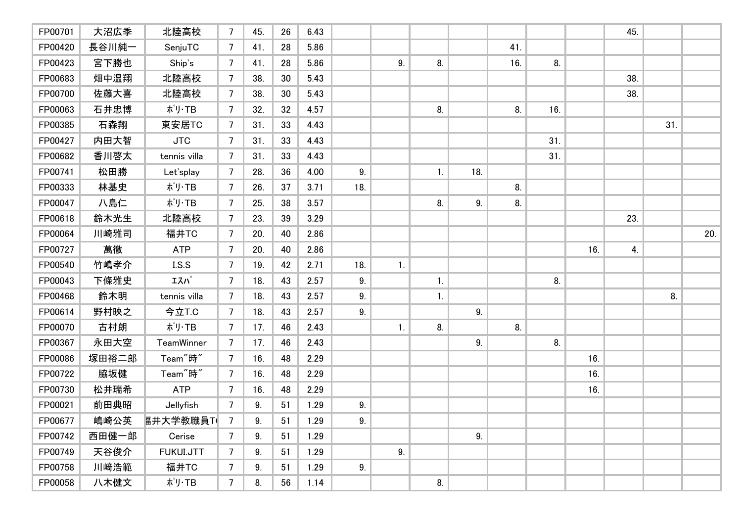| FP00701 | 大沼広季  | 北陸高校                 | 7               | 45. | 26 | 6.43 |     |    |    |     |     |     |     | 45. |     |     |
|---------|-------|----------------------|-----------------|-----|----|------|-----|----|----|-----|-----|-----|-----|-----|-----|-----|
| FP00420 | 長谷川純一 | SenjuTC              | 7               | 41. | 28 | 5.86 |     |    |    |     | 41. |     |     |     |     |     |
| FP00423 | 宮下勝也  | Ship's               | 7               | 41. | 28 | 5.86 |     | 9. | 8. |     | 16. | 8.  |     |     |     |     |
| FP00683 | 畑中温翔  | 北陸高校                 | 7               | 38. | 30 | 5.43 |     |    |    |     |     |     |     | 38. |     |     |
| FP00700 | 佐藤大喜  | 北陸高校                 | 7               | 38. | 30 | 5.43 |     |    |    |     |     |     |     | 38. |     |     |
| FP00063 | 石井忠博  | ポリ・TB                | $\overline{7}$  | 32. | 32 | 4.57 |     |    | 8. |     | 8.  | 16. |     |     |     |     |
| FP00385 | 石森翔   | 東安居TC                | 7               | 31. | 33 | 4.43 |     |    |    |     |     |     |     |     | 31. |     |
| FP00427 | 内田大智  | <b>JTC</b>           | $\overline{7}$  | 31. | 33 | 4.43 |     |    |    |     |     | 31. |     |     |     |     |
| FP00682 | 香川啓太  | tennis villa         | 7               | 31. | 33 | 4.43 |     |    |    |     |     | 31. |     |     |     |     |
| FP00741 | 松田勝   | Let'splay            | $\overline{7}$  | 28. | 36 | 4.00 | 9.  |    | 1. | 18. |     |     |     |     |     |     |
| FP00333 | 林基史   | ポリ・TB                | $\overline{7}$  | 26. | 37 | 3.71 | 18. |    |    |     | 8.  |     |     |     |     |     |
| FP00047 | 八島仁   | ポリ·TB                | $\overline{7}$  | 25. | 38 | 3.57 |     |    | 8. | 9.  | 8.  |     |     |     |     |     |
| FP00618 | 鈴木光生  | 北陸高校                 | $\overline{7}$  | 23. | 39 | 3.29 |     |    |    |     |     |     |     | 23. |     |     |
| FP00064 | 川崎雅司  | 福井TC                 | $\overline{7}$  | 20. | 40 | 2.86 |     |    |    |     |     |     |     |     |     | 20. |
| FP00727 | 萬徹    | <b>ATP</b>           | $\overline{7}$  | 20. | 40 | 2.86 |     |    |    |     |     |     | 16. | 4.  |     |     |
| FP00540 | 竹嶋孝介  | I.S.S                | $\overline{7}$  | 19. | 42 | 2.71 | 18. | 1. |    |     |     |     |     |     |     |     |
| FP00043 | 下條雅史  | エスパ                  | $7\overline{ }$ | 18. | 43 | 2.57 | 9.  |    | 1. |     |     | 8.  |     |     |     |     |
| FP00468 | 鈴木明   | tennis villa         | 7               | 18. | 43 | 2.57 | 9.  |    | 1. |     |     |     |     |     | 8.  |     |
| FP00614 | 野村映之  | 今立T.C                | 7               | 18. | 43 | 2.57 | 9.  |    |    | 9.  |     |     |     |     |     |     |
| FP00070 | 古村朗   | ポリ·TB                | 7               | 17. | 46 | 2.43 |     | 1. | 8. |     | 8.  |     |     |     |     |     |
| FP00367 | 永田大空  | TeamWinner           | 7               | 17. | 46 | 2.43 |     |    |    | 9.  |     | 8.  |     |     |     |     |
| FP00086 | 塚田裕二郎 | Team <sup>"</sup> 時" | 7               | 16. | 48 | 2.29 |     |    |    |     |     |     | 16. |     |     |     |
| FP00722 | 脇坂健   | Team <sup>"</sup> 時" | $\overline{7}$  | 16. | 48 | 2.29 |     |    |    |     |     |     | 16. |     |     |     |
| FP00730 | 松井瑞希  | <b>ATP</b>           | 7               | 16. | 48 | 2.29 |     |    |    |     |     |     | 16. |     |     |     |
| FP00021 | 前田典昭  | Jellyfish            | 7               | 9.  | 51 | 1.29 | 9.  |    |    |     |     |     |     |     |     |     |
| FP00677 | 嶋崎公英  | <b>届井大学教職員T</b>      | $\overline{7}$  | 9.  | 51 | 1.29 | 9.  |    |    |     |     |     |     |     |     |     |
| FP00742 | 西田健一郎 | Cerise               | $\overline{7}$  | 9.  | 51 | 1.29 |     |    |    | 9.  |     |     |     |     |     |     |
| FP00749 | 天谷俊介  | FUKUI.JTT            | 7               | 9.  | 51 | 1.29 |     | 9. |    |     |     |     |     |     |     |     |
| FP00758 | 川﨑浩範  | 福井TC                 | 7               | 9.  | 51 | 1.29 | 9.  |    |    |     |     |     |     |     |     |     |
| FP00058 | 八木健文  | ポリ・TB                | $\overline{7}$  | 8.  | 56 | 1.14 |     |    | 8. |     |     |     |     |     |     |     |